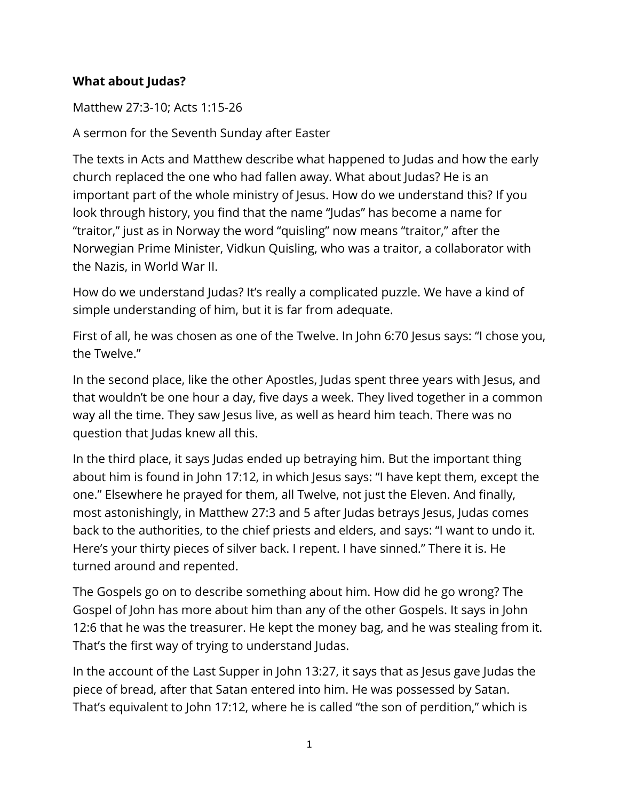## **What about Judas?**

Matthew 27:3-10; Acts 1:15-26

A sermon for the Seventh Sunday after Easter

The texts in Acts and Matthew describe what happened to Judas and how the early church replaced the one who had fallen away. What about Judas? He is an important part of the whole ministry of Jesus. How do we understand this? If you look through history, you find that the name "Judas" has become a name for "traitor," just as in Norway the word "quisling" now means "traitor," after the Norwegian Prime Minister, Vidkun Quisling, who was a traitor, a collaborator with the Nazis, in World War II.

How do we understand Judas? It's really a complicated puzzle. We have a kind of simple understanding of him, but it is far from adequate.

First of all, he was chosen as one of the Twelve. In John 6:70 Jesus says: "I chose you, the Twelve."

In the second place, like the other Apostles, Judas spent three years with Jesus, and that wouldn't be one hour a day, five days a week. They lived together in a common way all the time. They saw Jesus live, as well as heard him teach. There was no question that Judas knew all this.

In the third place, it says Judas ended up betraying him. But the important thing about him is found in John 17:12, in which Jesus says: "I have kept them, except the one." Elsewhere he prayed for them, all Twelve, not just the Eleven. And finally, most astonishingly, in Matthew 27:3 and 5 after Judas betrays Jesus, Judas comes back to the authorities, to the chief priests and elders, and says: "I want to undo it. Here's your thirty pieces of silver back. I repent. I have sinned." There it is. He turned around and repented.

The Gospels go on to describe something about him. How did he go wrong? The Gospel of John has more about him than any of the other Gospels. It says in John 12:6 that he was the treasurer. He kept the money bag, and he was stealing from it. That's the first way of trying to understand Judas.

In the account of the Last Supper in John 13:27, it says that as Jesus gave Judas the piece of bread, after that Satan entered into him. He was possessed by Satan. That's equivalent to John 17:12, where he is called "the son of perdition," which is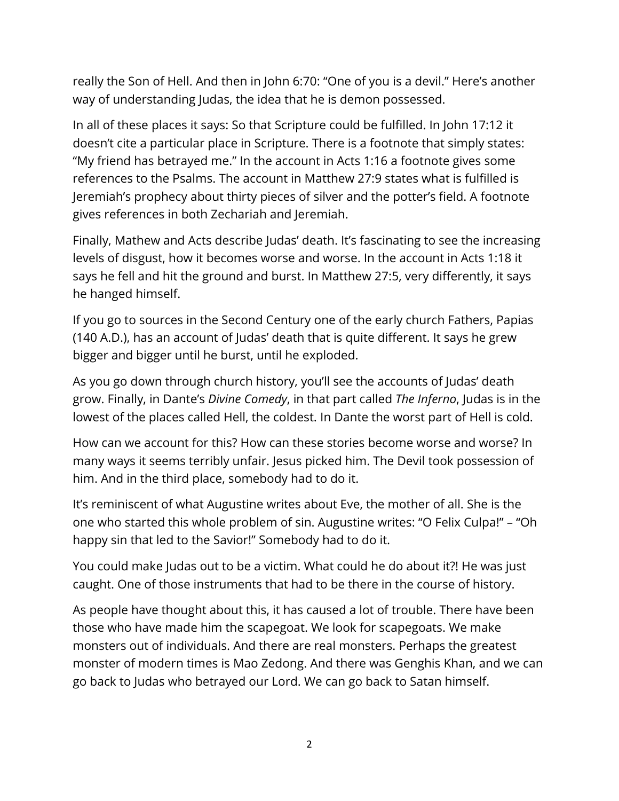really the Son of Hell. And then in John 6:70: "One of you is a devil." Here's another way of understanding Judas, the idea that he is demon possessed.

In all of these places it says: So that Scripture could be fulfilled. In John 17:12 it doesn't cite a particular place in Scripture. There is a footnote that simply states: "My friend has betrayed me." In the account in Acts 1:16 a footnote gives some references to the Psalms. The account in Matthew 27:9 states what is fulfilled is Jeremiah's prophecy about thirty pieces of silver and the potter's field. A footnote gives references in both Zechariah and Jeremiah.

Finally, Mathew and Acts describe Judas' death. It's fascinating to see the increasing levels of disgust, how it becomes worse and worse. In the account in Acts 1:18 it says he fell and hit the ground and burst. In Matthew 27:5, very differently, it says he hanged himself.

If you go to sources in the Second Century one of the early church Fathers, Papias (140 A.D.), has an account of Judas' death that is quite different. It says he grew bigger and bigger until he burst, until he exploded.

As you go down through church history, you'll see the accounts of Judas' death grow. Finally, in Dante's *Divine Comedy*, in that part called *The Inferno*, Judas is in the lowest of the places called Hell, the coldest. In Dante the worst part of Hell is cold.

How can we account for this? How can these stories become worse and worse? In many ways it seems terribly unfair. Jesus picked him. The Devil took possession of him. And in the third place, somebody had to do it.

It's reminiscent of what Augustine writes about Eve, the mother of all. She is the one who started this whole problem of sin. Augustine writes: "O Felix Culpa!" – "Oh happy sin that led to the Savior!" Somebody had to do it.

You could make Judas out to be a victim. What could he do about it?! He was just caught. One of those instruments that had to be there in the course of history.

As people have thought about this, it has caused a lot of trouble. There have been those who have made him the scapegoat. We look for scapegoats. We make monsters out of individuals. And there are real monsters. Perhaps the greatest monster of modern times is Mao Zedong. And there was Genghis Khan, and we can go back to Judas who betrayed our Lord. We can go back to Satan himself.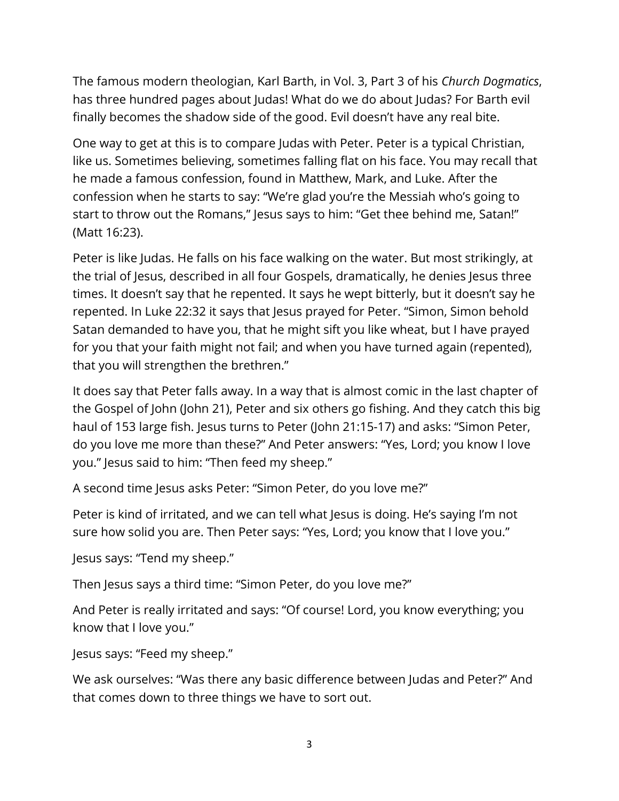The famous modern theologian, Karl Barth, in Vol. 3, Part 3 of his *Church Dogmatics*, has three hundred pages about Judas! What do we do about Judas? For Barth evil finally becomes the shadow side of the good. Evil doesn't have any real bite.

One way to get at this is to compare Judas with Peter. Peter is a typical Christian, like us. Sometimes believing, sometimes falling flat on his face. You may recall that he made a famous confession, found in Matthew, Mark, and Luke. After the confession when he starts to say: "We're glad you're the Messiah who's going to start to throw out the Romans," Jesus says to him: "Get thee behind me, Satan!" (Matt 16:23).

Peter is like Judas. He falls on his face walking on the water. But most strikingly, at the trial of Jesus, described in all four Gospels, dramatically, he denies Jesus three times. It doesn't say that he repented. It says he wept bitterly, but it doesn't say he repented. In Luke 22:32 it says that Jesus prayed for Peter. "Simon, Simon behold Satan demanded to have you, that he might sift you like wheat, but I have prayed for you that your faith might not fail; and when you have turned again (repented), that you will strengthen the brethren."

It does say that Peter falls away. In a way that is almost comic in the last chapter of the Gospel of John (John 21), Peter and six others go fishing. And they catch this big haul of 153 large fish. Jesus turns to Peter (John 21:15-17) and asks: "Simon Peter, do you love me more than these?" And Peter answers: "Yes, Lord; you know I love you." Jesus said to him: "Then feed my sheep."

A second time Jesus asks Peter: "Simon Peter, do you love me?"

Peter is kind of irritated, and we can tell what Jesus is doing. He's saying I'm not sure how solid you are. Then Peter says: "Yes, Lord; you know that I love you."

Jesus says: "Tend my sheep."

Then Jesus says a third time: "Simon Peter, do you love me?"

And Peter is really irritated and says: "Of course! Lord, you know everything; you know that I love you."

Jesus says: "Feed my sheep."

We ask ourselves: "Was there any basic difference between Judas and Peter?" And that comes down to three things we have to sort out.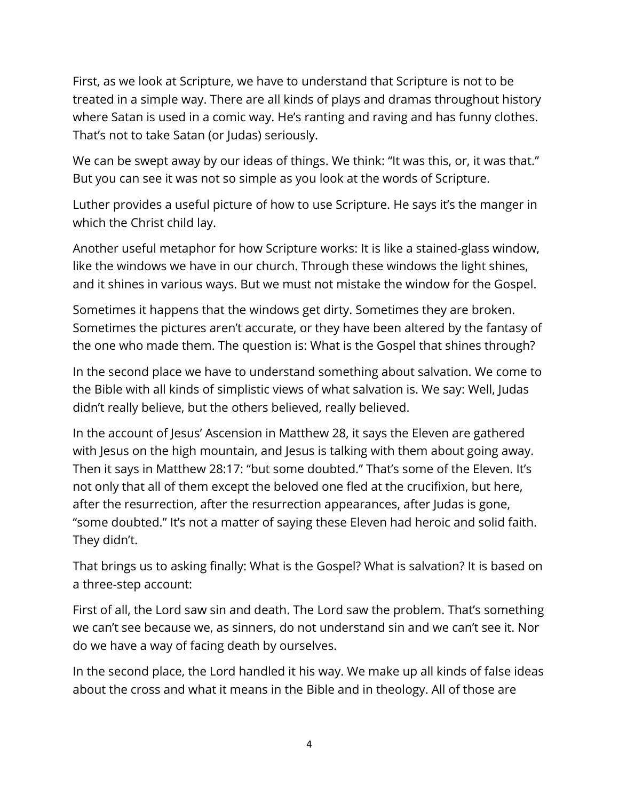First, as we look at Scripture, we have to understand that Scripture is not to be treated in a simple way. There are all kinds of plays and dramas throughout history where Satan is used in a comic way. He's ranting and raving and has funny clothes. That's not to take Satan (or Judas) seriously.

We can be swept away by our ideas of things. We think: "It was this, or, it was that." But you can see it was not so simple as you look at the words of Scripture.

Luther provides a useful picture of how to use Scripture. He says it's the manger in which the Christ child lay.

Another useful metaphor for how Scripture works: It is like a stained-glass window, like the windows we have in our church. Through these windows the light shines, and it shines in various ways. But we must not mistake the window for the Gospel.

Sometimes it happens that the windows get dirty. Sometimes they are broken. Sometimes the pictures aren't accurate, or they have been altered by the fantasy of the one who made them. The question is: What is the Gospel that shines through?

In the second place we have to understand something about salvation. We come to the Bible with all kinds of simplistic views of what salvation is. We say: Well, Judas didn't really believe, but the others believed, really believed.

In the account of Jesus' Ascension in Matthew 28, it says the Eleven are gathered with Jesus on the high mountain, and Jesus is talking with them about going away. Then it says in Matthew 28:17: "but some doubted." That's some of the Eleven. It's not only that all of them except the beloved one fled at the crucifixion, but here, after the resurrection, after the resurrection appearances, after Judas is gone, "some doubted." It's not a matter of saying these Eleven had heroic and solid faith. They didn't.

That brings us to asking finally: What is the Gospel? What is salvation? It is based on a three-step account:

First of all, the Lord saw sin and death. The Lord saw the problem. That's something we can't see because we, as sinners, do not understand sin and we can't see it. Nor do we have a way of facing death by ourselves.

In the second place, the Lord handled it his way. We make up all kinds of false ideas about the cross and what it means in the Bible and in theology. All of those are